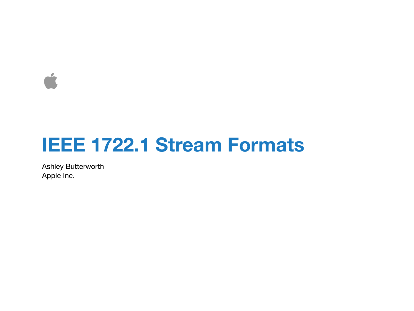$\Delta$ 

#### **IEEE 1722.1 Stream Formats**

Ashley Butterworth Apple Inc.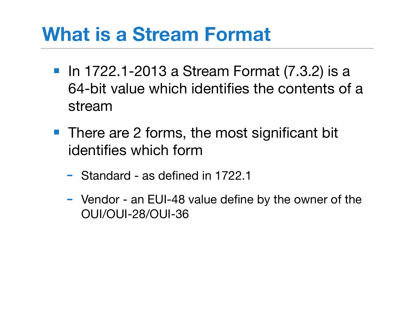# **What is a Stream Format**

- In 1722.1-2013 a Stream Format (7.3.2) is a 64-bit value which identifies the contents of a stream
- There are 2 forms, the most significant bit identifies which form
	- Standard as defined in 1722.1
	- Vendor an EUI-48 value define by the owner of the OUI/OUI-28/OUI-36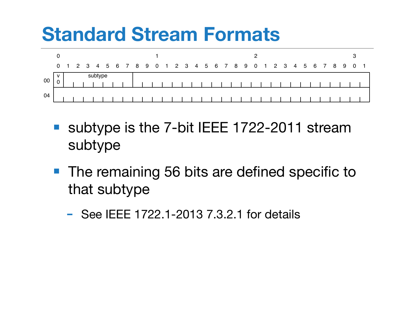# **Standard Stream Formats**



- subtype is the 7-bit IEEE 1722-2011 stream subtype
- The remaining 56 bits are defined specific to that subtype
	- See IEEE 1722.1-2013 7.3.2.1 for details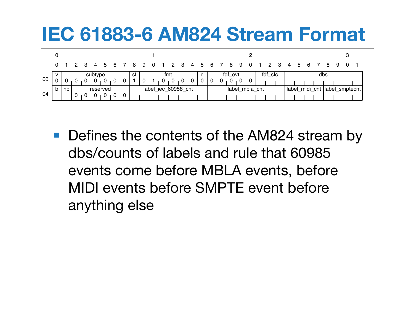#### **IEC 61883-6 AM824 Stream Format**

|        |              | $0 \quad 1$     | $\overline{2}$ |  | 4        | 56 |        |  | 8   | -9                  | $\overline{\mathbf{0}}$ |  |   | 3 4 5 |   |         | -6             |  | 8              | 9              |            |  |  | 3   | 4                               | 5 | -6 |  |  | 9 |  |  |
|--------|--------------|-----------------|----------------|--|----------|----|--------|--|-----|---------------------|-------------------------|--|---|-------|---|---------|----------------|--|----------------|----------------|------------|--|--|-----|---------------------------------|---|----|--|--|---|--|--|
| $00\,$ |              | subtype         |                |  |          |    |        |  | .st | fmt                 |                         |  |   |       |   | fdf evt |                |  |                |                | fdf sfc    |  |  | dbs |                                 |   |    |  |  |   |  |  |
|        |              |                 |                |  |          |    |        |  |     |                     |                         |  | v |       | U | 0       |                |  | $\overline{0}$ | $\overline{0}$ | $\sqrt{0}$ |  |  |     |                                 |   |    |  |  |   |  |  |
| 04     | $\mathsf{b}$ | Inb<br>reserved |                |  |          |    |        |  |     | label_iec_60958_cnt |                         |  |   |       |   |         | label_mbla_cnt |  |                |                |            |  |  |     | (label_midi_cnt  label_smptecnt |   |    |  |  |   |  |  |
|        |              |                 | U              |  | <b>U</b> |    | $01$ 0 |  |     |                     |                         |  |   |       |   |         |                |  |                |                |            |  |  |     |                                 |   |    |  |  |   |  |  |

■ Defines the contents of the AM824 stream by dbs/counts of labels and rule that 60985 events come before MBLA events, before MIDI events before SMPTE event before anything else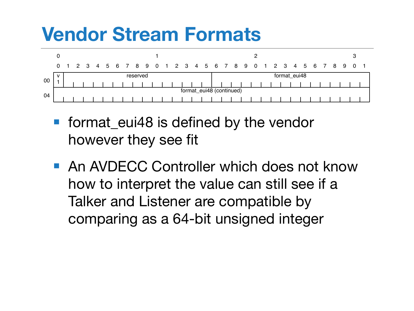## **Vendor Stream Formats**



- format eui48 is defined by the vendor however they see fit
- An AVDECC Controller which does not know how to interpret the value can still see if a Talker and Listener are compatible by comparing as a 64-bit unsigned integer